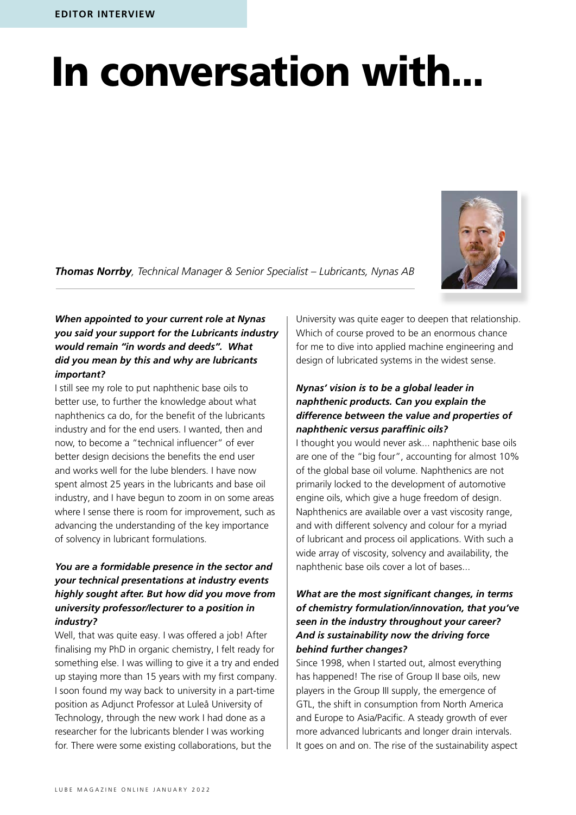# In conversation with...

*Thomas Norrby, Technical Manager & Senior Specialist – Lubricants, Nynas AB*



### *When appointed to your current role at Nynas you said your support for the Lubricants industry would remain "in words and deeds". What did you mean by this and why are lubricants important?*

I still see my role to put naphthenic base oils to better use, to further the knowledge about what naphthenics ca do, for the benefit of the lubricants industry and for the end users. I wanted, then and now, to become a "technical influencer" of ever better design decisions the benefits the end user and works well for the lube blenders. I have now spent almost 25 years in the lubricants and base oil industry, and I have begun to zoom in on some areas where I sense there is room for improvement, such as advancing the understanding of the key importance of solvency in lubricant formulations.

## *You are a formidable presence in the sector and your technical presentations at industry events highly sought after. But how did you move from university professor/lecturer to a position in industry?*

Well, that was quite easy. I was offered a job! After finalising my PhD in organic chemistry, I felt ready for something else. I was willing to give it a try and ended up staying more than 15 years with my first company. I soon found my way back to university in a part-time position as Adjunct Professor at Luleå University of Technology, through the new work I had done as a researcher for the lubricants blender I was working for. There were some existing collaborations, but the

University was quite eager to deepen that relationship. Which of course proved to be an enormous chance for me to dive into applied machine engineering and design of lubricated systems in the widest sense.

### *Nynas' vision is to be a global leader in naphthenic products. Can you explain the difference between the value and properties of naphthenic versus paraffinic oils?*

I thought you would never ask... naphthenic base oils are one of the "big four", accounting for almost 10% of the global base oil volume. Naphthenics are not primarily locked to the development of automotive engine oils, which give a huge freedom of design. Naphthenics are available over a vast viscosity range, and with different solvency and colour for a myriad of lubricant and process oil applications. With such a wide array of viscosity, solvency and availability, the naphthenic base oils cover a lot of bases...

## *What are the most significant changes, in terms of chemistry formulation/innovation, that you've seen in the industry throughout your career? And is sustainability now the driving force behind further changes?*

Since 1998, when I started out, almost everything has happened! The rise of Group II base oils, new players in the Group III supply, the emergence of GTL, the shift in consumption from North America and Europe to Asia/Pacific. A steady growth of ever more advanced lubricants and longer drain intervals. It goes on and on. The rise of the sustainability aspect